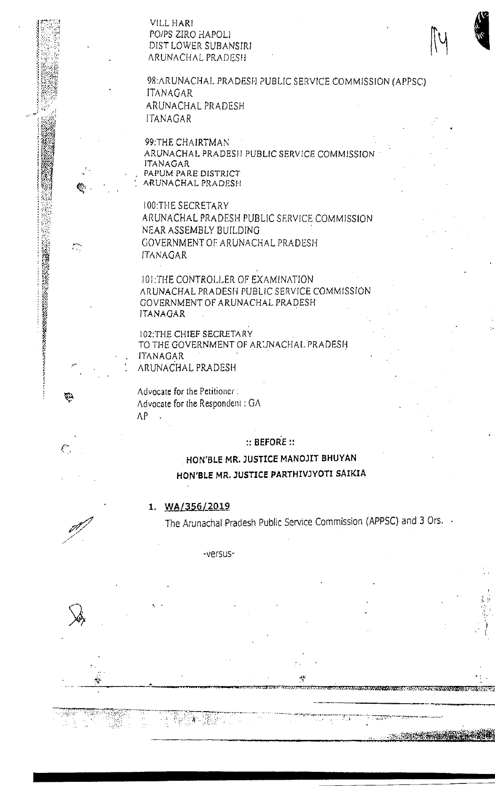VILL HARI PO/PS ZIRO HAPOLI DIST LOWER SUBANSIRI **ARUNACHAL PRADESH** 



98: ARUNACHAL PRADESH PUBLIC SERVICE COMMISSION (APPSC) **ITANAGAR** ARUNACHAL PRADESH **ITANAGAR** 

99:THE CHAIRTMAN ARUNACHAL PRADESII PUBLIC SERVICE COMMISSION **ITANAGAR** PAPUM PARE DISTRICT ARUNACHAL PRADESH

**100:THE SECRETARY** ARUNACHAL PRADESH PUBLIC SERVICE COMMISSION NEAR ASSEMBLY BUILDING GOVERNMENT OF ARUNACHAL PRADESH **ITANAGAR** 

101:THE CONTROLLER OF EXAMINATION ARUNACHAL PRADESH PUBLIC SERVICE COMMISSION GOVERNMENT OF ARUNACHAL PRADESH **ITANAGAR** 

102. THE CHIEF SECRETARY TO THE GOVERNMENT OF ARUNACHAL PRADESH **ITANAGAR** ARUNACHAL PRADESH

Advocate for the Petitioner: Advocate for the Respondent: GA  $AP$ 

 $::$  BEFORE  $::$ 

# HON'BLE MR. JUSTICE MANOJIT BHUYAN HON'BLE MR. JUSTICE PARTHIVJYOTI SAIKIA

## 1. WA/356/2019

٠Ï.

The Arunachal Pradesh Public Service Commission (APPSC) and 3 Ors. .

بابد

-versus-



¢Þ.

 $\mathbb{C}^{\infty}$ 

Q.

 $\ell_{\mathbb{Z}}$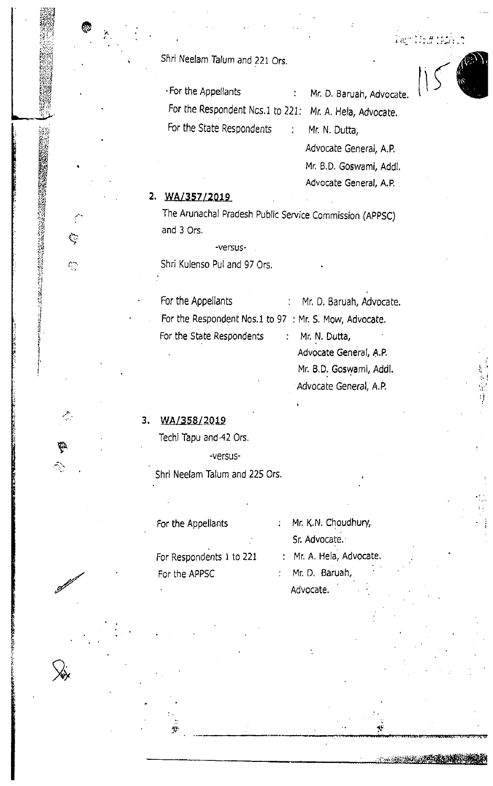Shri Neelam Talum and 221 Ors.

• For the Appellants For the Respondent Ncs.1 to 221: Mr. A. Hela, Advocate. For the State Respondents

Mr. D. Baruah, Advocate. Mr. N. Dutta,

Lagh Young training

Advocate General, A.P. Mr. B.D. Goswami, Addl. Advocate General, A.P.

Mr. B.D. Goswami, Addl.

Advocate General, A.P.

#### 2. WA/357/2019

そうしゃ アクセス しんこうしょう こうしょう こうしょう こうしょう こうしょう こうしょう こうしょう こうしょう

়

 $\mathcal{C}^{\infty}_{\mathbb{Z}}$ 

4

₩

The Arunachal Pradesh Public Service Commission (APPSC) and 3 Ors.

 $\ddot{\phantom{a}}$ 

 $\frac{1}{2}$  ,  $\frac{1}{2}$ 

-versus-

Shri Kulenso Pul and 97 Ors.

For the Appellants Mr. D. Baruah, Advocate.  $\frac{1}{2}$  . For the Respondent Nos.1 to 97 : Mr. S. Mow, Advocate. For the State Respondents Mr. N. Dutta,  $\mathcal{L}_{\mathrm{max}}$ Advocate General, A.P.

#### 3. WA/358/2019

Techi Tapu and 42 Ors.

-versus-

Shri Neelam Talum and 225 Ors.

: Mr. K.N. Choudhury, For the Appellants Sr. Advocate. : Mr. A. Hela, Advocate. For Respondents 1 to 221 Mr. D. Baruah, For the APPSC  $\mathcal{L}$ 

Advocate.

**No. A COMMON CANADA RESERVED**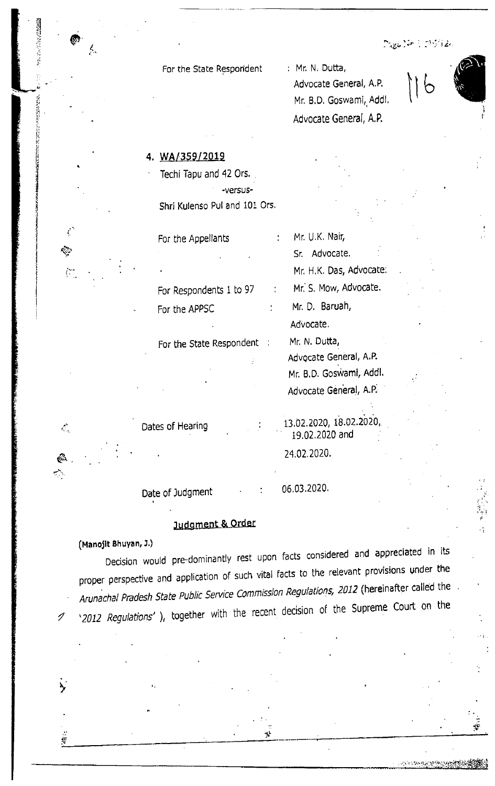$\mathbb{M}_{\mathbf{g} \mathbf{g}}(\mathcal{G} \mathbf{r}) \in \mathcal{D}(\mathcal{G}(\mathbf{g}))$ 

والمستقصر ومحاجر بزوجته والاست

For the State Respondent

: Mr. N. Dutta, Advocate General, A.P. Mr. B.D. Goswami, Addl. Advocate General, A.P.

4. WA/359/2019

Techi Tapu and 42 Ors. -versus-Shri Kulenso Pul and 101 Ors.

For the Appellants For Respondents 1 to 97 For the APPSC

 $\mathcal{L}^{\pm}$ 

For the State Respondent :

Mr. U.K. Nair, Sr. Advocate. Mr. H.K. Das, Advocate: Mr. S. Mow, Advocate. Mr. D. Baruah, Advocate. Mr. N. Dutta, Advocate General, A.P. Mr. B.D. Goswami, Addl. Advocate General, A.P.

Dates of Hearing

13.02.2020, 18.02.2020, 19.02.2020 and 24.02.2020.

Date of Judgment

06.03.2020.

# Judgment & Order

(Manojit Bhuyan, J.)

¢

 $\mathcal{L}_{\mathcal{A}}$ 

ି  $\sim$ 

ク

Decision would pre-dominantly rest upon facts considered and appreciated in its proper perspective and application of such vital facts to the relevant provisions under the Arunachal Pradesh State Public Service Commission Regulations, 2012 (hereinafter called the '2012 Regulations'), together with the recent decision of the Supreme Court on the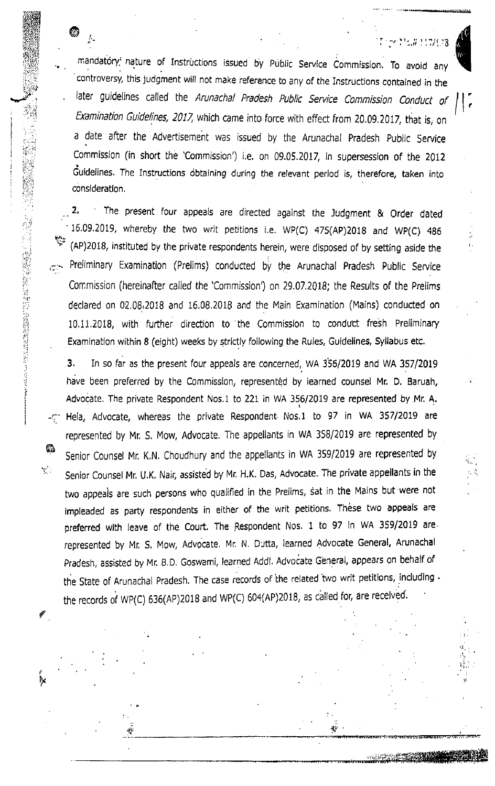$t$ . If  $\mathbb{C}^{n}$  is a set of  $\mathbb{C}^{n}$  in  $\mathbb{C}^{n}$  is a set of  $\mathbb{C}^{n}$  in  $\mathbb{C}^{n}$  in  $\mathbb{C}^{n}$ 

..\_..--. \_ -,,, ..c;ir.ia,

(

t. .il. il.

It

mandatory nature of Instructions issued by Public Service Commission. To avoid any controversy, this judgment will not make reference to any of the Instructions contained in the later guidelines called the Arunachal Pradesh Public Service Commission Conduct of Examination Guidelines, 2017, which came into force with effect from 20.09.2017, that is, on a date after the Advertisement was issued by the Arunachal pradesh public service Commission (in short the 'Commission') i.e. on Og.O5.Z0l7, in supersession of the <sup>2012</sup> Guidelines. The Instructions obtaining during the relevant period is, therefore, taken into conslderatlon,

@

.

 $\mathcal{C}_{\mathcal{P}_{\mathcal{P}}\mathcal{P}_{\mathcal{P}}}$ 

::: 828 t#ffi i.!O:rZii  $\hat{z}$ iijili:

-!.rri.-;r  $\mathbb{Z}$ 

w

 $\mathcal{L}_{\mathcal{L}}$  .

.<br>K

P,

The present four appeals are directed against the Judgment & Order dated 2. 16.09.2019, wherebv the two writ peritions i.e. wp(c) 475(Ap)2010 and wp(c) a86 (AP)2018, instituted by the private respondents herein, were disposed of by setting aside the  $\sigma$ . Preliminary Examination (Prelims) conducted by the Arunachal Pradesh Public Service Con:mission (hereinafter called the 'Commission) on 29.07.2018; the Results of the Prelims declared on 02.08.2018 and 16.08.2018 and the Main Examination (Mains) conducted on 10.11.2018, with further direction to the Commission to conduct fresh Preliminary Examination within 8 (eight) weeks by strictly following the Rules, Guidelines, Syllabus etc.

3. In so far as the present four appeals are concerned, WA 356/2019 and WA 357/2019 have been preferred by the Commission, represented by learned counsel Mr. D. Baruah, Advocate. The private Respondent Nos.1 to 221 in WA 356/2019 are represented by Mr. A, -g Hela, Advocate, whereas the private Respondent Nos.1 to 97 in WA 357/2019 are represented by Mr. S. Mow, Advocate, The appellants in WA 358/2019 are represented by senior counsel Mr K.N. choudhury and the appellants in wA 359/2019 are represented by Senior Counsel Mr. U.K. Nair, assisted by Mr. H.K. Das, Advocate. The private appellants in the two appeals are such persons who qualified in the Prelims, sat in the Mains but were not impleaded as party respondents in either of the writ petitions. These two appeals are preferred with leave of the Court. The Respondent Nos. 1 to 97 in WA 359/2019 are represented by Mr. S. Mow, Advocate. Mr. N. Dutta, learned Advocate General, Arunachal Pradesh, assisted by Mr. B.D. Goswami, learned Addl. Advocate General, appears on behalf of the State of Arunachal Pradesh. The case records of the related two writ petitions, including  $\cdot$ the records of WP(C) 636(AP)2018 and WP(C) 604(AP)2018, as called for, are received.

:l-. rffi darffi tsrr.E nrrrf,r.iirrr.:rrrif fjrEE,;ri:nnrit. ;rF-i=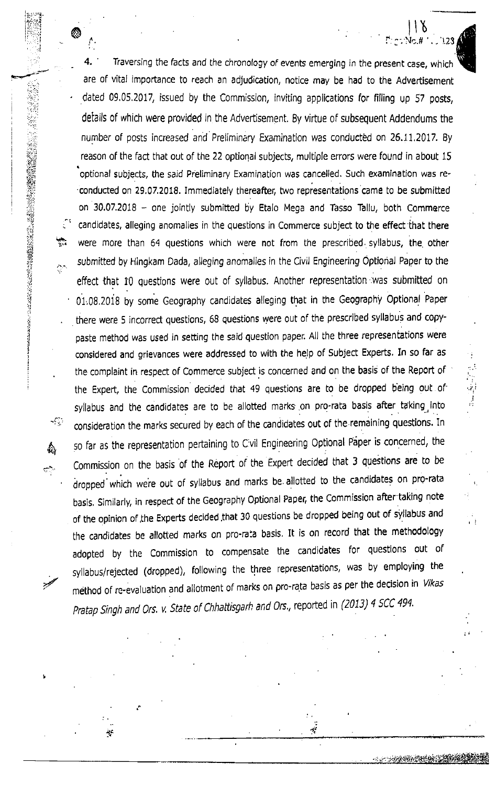Traversing the facts and the chronology of events emerging in the present case, which are of vital importance to reach an adjudication, notice may be had to the Advertisement dated 09.05.2017, issued by the Commission, inviting applications for filling up 57 posts, details of which were provided in the Advertisement. 8y virtue oF subsequent Addendums the number of posts increased and Preliminary Examination was conducted on 25.11,2017. By reason of the fact that out of the 22 optional subjects, multiple errors were found in about 15 optional subjects, the said Preliminary Examination was cancelled. Such examination was re-'conducted on 29.07.2018. Immediately thereafter, two representations came to be submitted on  $30.07.2018$  - one jointly submitted by Etalo Mega and Tasso Tallu, both Commerce candldates, alleging anomalies in the questions in Commerce subject to the effect that there were more than 64 questions which were not from the prescribed. syllabus, the other حوالہ<br>مرکزی submitted by Hingkam Dada, alleging anomalies in the Civil Engineering Optional Paper to the  $\frac{1}{2}$ effect that I0 questions were out of syllabus, Another representation was submitted on 01.08.2018 by some Geography candidates alleging that in the Geography Optional Paper there were 5 incorrect questions, 68 questions were out of the prescribed syllabus and copypaste method was used in setting the said question paper. All the three representations were considered and grievances were addressed to with the help of Subject Experts. In so far as the complaint in respect of Commerce subject is concerned and on the basis of the Report of the Expert, the Commission decided that 49 questions are to be dropped being out ot syllabus and the candidates are to be allotted marks on pro-rata basis after taking into consideration the marks secured by each of the candidates out of the remaining questions. In so far as the representation pertaining to Civil Engineering Optional Paper is concerned, the Commission on the basis of the Report of the Expert decided that 3 questions are to be dropped which were out of syllabus and marks be allotted to the candidates on pro-rata basis, similarly, in respect of the Geography optional Paper, the commission after taking note of the opinion of the Experts decided that 30 questions be dropped being out of syllabus and the candidates be allotted marks on pro-rata basis. It is on record that the methodology adopted by the commission to compensate the candidates for questions out of syllabus/rejected (dropped), following the three representations, was by employing the method of re-evaluation and allotment of marks on pro-rata basis as per the decision in Vikas Pratap Singh and Ors. v. State of Chhattisgarh and Ors., reported in (2013) 4 SCC 494.

 $\tau_i$ 

 $\bigcirc$  ll  $\bigcirc$ 

 $\sim$ 

:"'.i.a :::,.

 $:$   $\,$ 

 $^{\circ}$  $\cdot$ |i;l

?iit id 't!,1 ;E

'tti f.i  $\cdot$ 1;i  $\frac{1}{1}$ .il !, 4 :] , I

I

... $\sim$ 

A frt

 $\overline{\mathbb{C}}$  )

.<br>مر

ij.

 $\cdot$ : 123 $\triangle$ 

,!

 $\cdot$  . I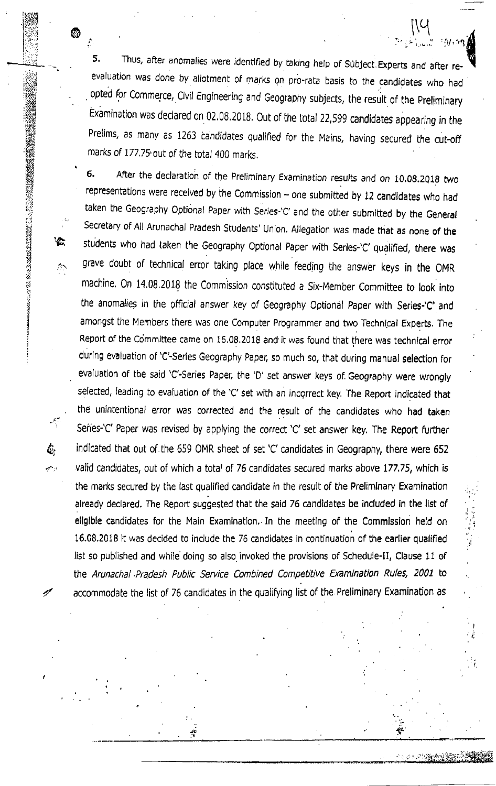5. Thus, after anomalies were identified by taking help of Subject Experts and after reevaluation was done by allotment of marks on pro-rata basis to the candidates who had opted for Commerce, Civil Engineering and Geography subjects, the result of the Preliminary Examination was declared on 02.08.2018. Out of the total 22,599 candidates appearing in the Prelims, as many as 1263 candidates qualified for the Mains, having secured the cut-off marks of 177.75 out of the total 400 marks.

 $\mathcal{E}$ 

 $\mathbb{M}_{\mathbb{R}}$  : , , , , ,

 $: \gamma_{1}$ . 29

(

 $\blacksquare$ 

6. After the declaration of the Preliminary Examination results and on 10.08.2018 two representations were received by the Commission  $-$  one submitted by 12 candidates who had taken the Geography Optional Paper with Series-'C' and the other submitted by the General Secretary of All Arunachal Pradesh Students' Union. Allegation was made that as none of the students who had taken the Geography Optional Paper with Series-'C' qualified, there was grave doubt of technical error taking place while feeding the answer keys in the OMR machine. On 14.08.2018 the Commission constituted a Six-Member Committee to look into the anomalies in the official answer key of Geography Optional Paper with Series-'C' and amongst the Members there was one Computer Programmer and two Technical Experts. The Report of the Committee came on 16.08.2018 and it was found that there was technical error during evaluation of 'C'-Series Geography Paper, so much so, that during manual selection for evaluation of the said 'C'-Series Paper, the 'D' set answer keys of. Geography were wrongly selected, leading to evaluation of the 'C' set with an incorrect key. The Report indicated that the unintentional error was corrected and the result of the candidates who had taken Series-'C' Paper was revised by applying the correct 'C' set answer key. The Report further indicated that out of the 659 OMR sheet of set 'C' candidates in Geography, there were 652 valid candidates, out of which a total of 76 candidates secured marks above 177.75, which is the marks secured by the last qualified candidate in the result of the Preliminary Examination already declared. The Report suggested that the said 76 candidates be included in the list of eligible candidates for the Main Examination. In the meeting of the Commission held on 16.08,2018 it was decided to include the 76 candidates in continuation of the earlier qualified list so published and while doing so also invoked the provisions of Schedule-II, Clause 11 of the Arunachal Pradesh Public Service Combined Competitive Examination Rules, 2001 to accommodate the list of 76 candidates in the qualifying list of the Preliminary Examination as

JF

I l:

i

4

 $f_{\rm kin}$ 

ن جي

itlEi ll r,.w'

li ;,t'';1 | .. ,- t,, t.:-

:,i't,;

ri i"ii l;i: i:ii ri :'l t'.1 il p, ,,;) ?tl

e

::<br>i $\sim$ 

in a straight of the straight

1 1 I

-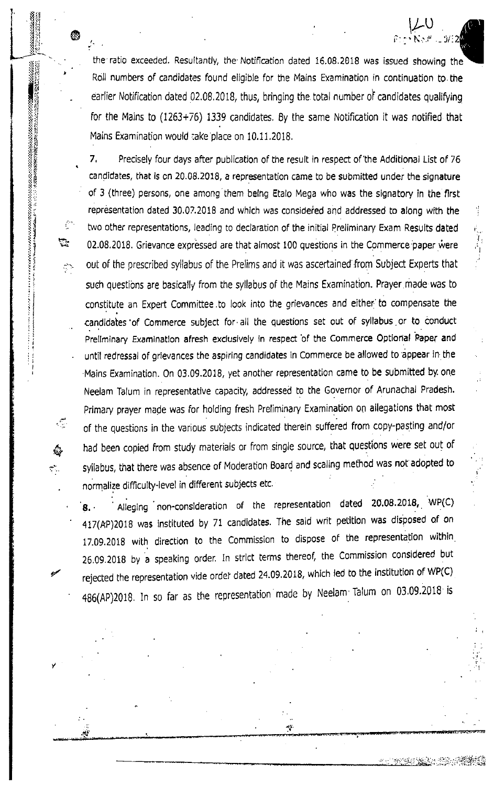the'ratio exceeded. Resultantiy, the Notification dated 15.08,2018 was issued showing the Roll numbers of candidates found eligible for the Mains Examination in continuation to the earlier Notification dated 02.08.2018, thus, bringing the total number of candidates qualifying for the Mains to (1263+76) 1339 candidates, 8y the same Notification it was notified that Mains Examination would iake place on 10.11.2018.

l'

 $\downarrow$ U  $N_{\rm C}$ r

 $i$ <sup>:</sup>2

 $\sim$  is a significant  $\delta$  $\frac{1}{2}$ 

@

<sup>i</sup>l:l: <sup>I</sup>.ii

L-

 $\mathbf{x}$   $\mathbf{y}$ 

i::a i'r tfl

ii;ii  $\Lambda^2$ ii rl  $.15$ tie :.: ?:  $\lambda$  ir  $\mathcal{G}(\mathcal{E})$ 

ا: 1972.<br>استان المقاطعة المقاطعة المقاطعة التي تحت المقاطعة التي تحت التي تحت التي تحت المقاطعة التي تحت التي<br>استعلال التي تحت التي تحت التي تحت التي تحت التي تحت التي تحت التي تحت التي تحت التي تحت التي تحت التي تحت ال

 $\mathcal{E}^{\text{reg}}$ 

容

 $\mathcal{D}_{\mathcal{A}}$ 

t1i llj

i :l

rl ii  $\cdot$ il :r il

 $\mathbb{C}$ 

 $\tau_{\rm{eff}}$ 

 $\mathcal{Z}$ 

7. Precisely four days after pubJication of the result in respect of'the Additional List of <sup>75</sup> candidates, that is cn 20.08.2018, a representation came to be submitted under the signature of 3 (three) persons, one among them being Etalo Mega who was the signatory in the first representation dated 30.07.2018 and whlch was consideied and addressed to along with the two other representations, leading to declaration of the initial Preliminary Exam Results dated 02.08.2018. Grievance expressed are that almost 100 questions in the Commerce paper were out of the prescribed syllabus of the Prelims and lt was ascertained from Subject Experts that such questions are basically from the syllabus of the Mains Examination. Prayer made was to constitute an Expert Committee to look into the grievances and either to compensate the candidates of Commerce subject for all the questions set out of syllabus or to conduct Prellminary Examination afresh exclusively in respect of the Commerce Optional Paper and until redressal of grievances the aspiring candidates in Commerce be allowed to appear in the Mains Examination. On 03.09.2018, yet another representalion came to be submitted by one Neelam Talum in representative capacity, addressed to the Governor of Arunachal Pradesh. Primary prayer made was for holding fresh Preliminary Examination on allegations that most of the questions in the various sub;ects indicated therein suffered from copy-pasling and/or had been copied from study materials or from single source, that questions were set out of syltabus, that there was absence of Moderation Board and scaling method was not adopted to normalize difficulty-level in different subjects etc. "

.g. . . Alleging non-consideration of the representation dated 20.08.2018, WP(C) 417(AP)2018 was instituted by 71 candidates. The said writ petition was disposed of on 17.09.2018 with direction to the commission to dispose of the representation within 26.09.2018 by a speaking order. In strict terms thereof, the Commission considered but rejected the representation vide order dated 24.09.2018, which led to the institution of WP(C) 486(AP)2018. In so far as the representation made by Neelam Talum on 03.09.2018 is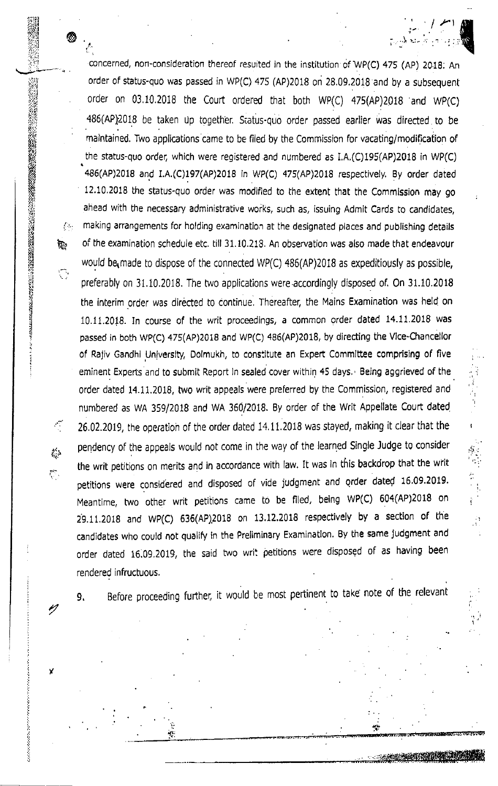concerned, non-consideration thereof resuited in the institution of wp(c) 475 (Ap) 20.19; An order of status-quo was passed in wP(c) 475 (AP)2018 on 28,09.2018 and by a subsequent order on 03.10.2018 the Court ordered that both WP(C) 475(AP)2018 and WP(C) .486(AP)201S be taken up together. Sratus-quo order passed earlier was directed to be malntained. Two applications came to be filed by the Commission for vacating/modification of the status-quo order, which were registered and numbered as  $I.A.(C)195(AP)2018$  in WP(C) 485(AP)2018 and I.A.(C)197(AP)2018 in WP(C) 475(AP)2018 respectively. By order dated 12.10,2018 the status-quo order was modiiied to the extent that the Commlssion may go ahead with the necessary administrative works, such as, issuing Admit Cards to candidates, making arrangements for holding examination at the designated places and publishing details of the examination schedule etc. till 31.10.218. An observation was also made that endeavour would be made to dispose of the connected  $WP(C)$  486(AP)2018 as expeditiously as possible, preferably on 31.10.2018. The two applications were accordingly disposed of. 0n 31.10.2018 the interim order was directed to continue. Thereafter, the Mains Examination was held on 10.11.2018. In course of the writ proceedings, a common order dated 14.11.2018 was passed in both WP(C) 475(AP)2018 and WP(C) 486(AP)2018, by directing the Vice-Chancellor of Rajiv Gandhl Universlty, Dolmukh, to constitute an Expeft Commlttee comprising of five eminent Experts and to submit Report In sealed cover within 45 days. Being aggrieved of the order dated 14.11.2018, two writ appeals were preferred by the Commission, registered and numbered as wA 359/2018 and WA 360/2018. By order of the wrlt Appellate court dated 26.02.2019, the operation of the order dated 14,11,2018 was stayed, making it clear that the pendency of the appeals would not come in the way of the learned Single Judge to consider the writ petitions on merits and in accordance with law. It was in this backdrop that the wiit petitions were considered and disposed of vide judgment and order dated 16.09.2019. Meantime, two other writ petitions came to be filed, being WP(C) 604(AP)2018 on 29.11.2018 and WP(C) 635(AP)2018 on 13.12,2018 respectively by a section of the candidates who could not qualify in the Preliminary Examination. By the same judgment and order dated 16.09.2019, the said two writ petitions were disposed of as having been rendered infructuous.

 $\bullet$  .

/

Y

i

t

lii i

 $\frac{\nu}{\omega}$ .

 $\mathcal{L}_{\mathcal{L}_{\mathcal{L}}}$ 

 $\mathcal{L}_{\mathcal{A}}$ 

h,

 $\mathcal{L}(\mathcal{E})$ 

 $\Box$ 

,t-:':rtr  $\mathbb{R}^1$ ',;: <sup>4</sup> ':;.ll  $:$   $\ddot{}$ سائق ،

 $r_{\rm eff}$ 

 $\ddot{\tilde{r}}$ 

;t).tiij :i.j R,:: ui; '\*!t v!l +Yi  $\beta_U$ ffi s Ri! gtt!

:(i \$rl tlt  $\frac{1}{2}$ 

iI g !:i

-ri { J 1 .l

I  $\ddot{\cdot}$ 

i

9. Before proceeding further, it would be most pertinent to take note of the relevant

it'

iliaid iliaid on a character and the France Control of the Elite of the Control of the Elite of the Elite of T

 $\frac{1}{2}$ 

 $\mathbf{I}$ 

,oni,€4ffia[\$sffiffii

',=+--,\*'r;"'e-rii'E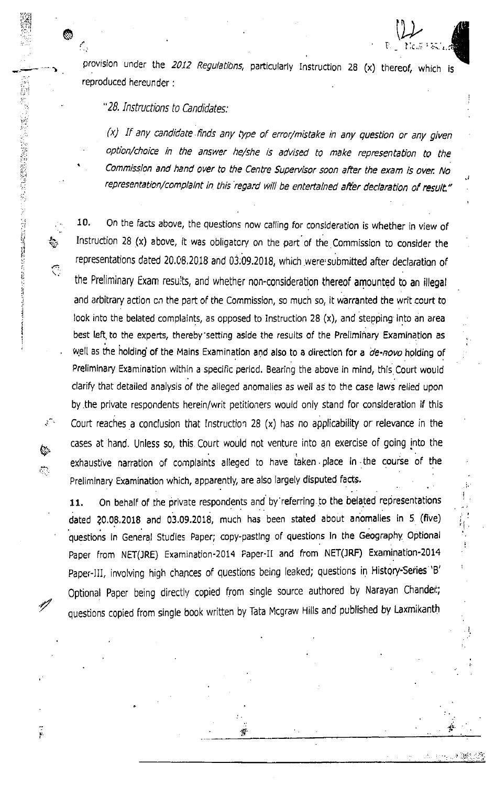provision under the 2012 Regulations, particularly Instruction 28 (x) thereof, which is reproduced hereunder :

.{

;. I

ir ,

I.

 $\mathfrak{b} \in \mathfrak{N}$ i, ' $\mathbb{Z}_4$ 

 $\bullet$  is a set of  $\mathbb{Q}$ 

## "28. Instructions to Candidates:

@

 $\mathbb{C}^n$ 

d\_-.. cit+

n

/

ÿ.

tl 1l .l l ) I t

i::, I

 $(x)$  If any candidate finds any type of error/mistake in any question or any given option/choice in the answer he/she is advised to make representation to the commisslon and hand over to the centre superuisor soon after the exam is over No representation/complaint in this regard will be entertained after declaration of result."

10, On the facts above, the questions now calling for consideration is whether in view of Instruction 28 (x) above, it was obligatcry on the part of the Commission to consider the representations dated 20.08.2018 and 03.09.2018, which were submitted after declaration of the Preliminary Exam results, and whether non-consideration thereof amounted to an illegal and arbitrary action cn the part of the Commission, so much so, it warranted the writ court to look into the belated complaints, as opposed to Instruction 28 (x), and stepping into an area best left. to the experts, thereby'setting aside the results of the Prelimihary Examination as well as the holding of the Mains Examination and also to a direction for a de-novo holding of Preliminary Examination within a specific pericd. Bearing the above in mind, this Court would clarify that detailed analysis of the alleged anomalies as well as to the case laws relied upon by the private respondents herein/writ petitioners would only stand for consideration if this Court reaches a conclusion that Instruction 28  $(x)$  has no applicability or relevance in the cases at hand. Unless so, this Court would not venture into an exercise of going into the exhaustive narration of complaints alleged to have taken place in the course of the Preliminary Examination which, apparently, are also largely disputed facts.

11. On behalf of the private respondents and by referring to the belated representations dated 20.08.2018 and 03.09.2018, much has been stated about anomalies in 5 (five) questions in General Studies Paper; copy-pastlng of questions in the Geography Optional Paper from NET(JRE) Examination-2014 Paper-II and from NET(JRF) Examination-2014 Paper-III, involving high chances of questions being leaked; questions in History-Series 'B' Optional Paper being directly copied from single source authored by Narayan Chander; questions copied from single book written by Tata Mcgraw Hills and published by Laxmikanth

:T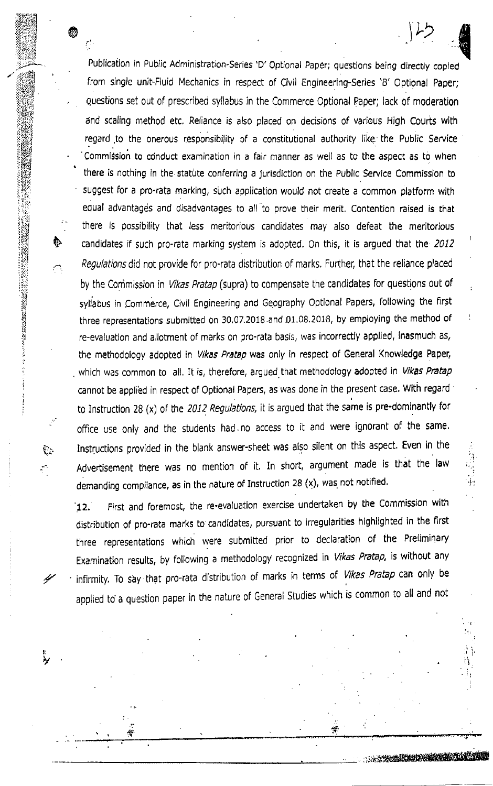. Publication in Public Administration-Series 'D' Optional Paper; questions being directly copied from single unit-Fluid Mechanics in respect of Civil Engineering-Series 'B' 0ptional Paper; . questions set out of prescribed syllabus in the Commerce Optional Paper; lack of moderation and scaling method etc. Reliance is also placed on decisions of various High Courts with regard to the onerous responsibility of a constitutional authority like the Public Service Commission to conduct examination in a fair manner as well as to the aspect as to when<br>there is nothing in the statute conferring a jurisdiction on the Public Service Commission to suggest for a pro-rata marking, such application would not create a common platform with equal advantages and disadvantages to all to prove their merit. Contention raised is that there is possibility that less meritorious candidates may also defeat the meritorious candidates if such pro-rata marking system is adopted. On this, it is argued that the 2012 Regulations did not provide for pro-rata distribution of marks. Further, that the reliance placed by the Commission in Vikas Pratap (supra) to compensate the candidates for questions out of syllabus in Commerce, Civil Engineering and Geography Optional Papers, following the fir5t three representations submitted on 30.07.2018 and 01.08.2018, by employing the method of re-evaluation and allotment of marks on pro-rata basis, was incorrectly applied, inasmuch as, the methodology adopted in Vikas Pratap was only in respect of General Knowledge Paper, which was common to all. It is, therefore, argued that methodology adopted in Vikas Pratap cannot be appli'ed in respect of Optional Papers, as was done in the present case. With regard to Instruction 28 (x) of the 2012 Regulations, it is argued that the same is pre-dominantly for OFfice use only and the students had. no access to it and were ignorant of the same. Instructions provided in the blank answer-sheet was also silent on this aspect. Even in the Advertisement there was no mention of it. In short, argument made is that the law demanding compliance, as in the nature of Instruction 28  $(x)$ , was not notified.

,:. i.:

i a .|

> $, \, \circ$  $:2:$ t::..:, iifl 'i.") !ilJ  $\cdot$  . 't!, i :i;. :,i

> > a it ii;

i:. i

 $\mathbb{C}$  .

{/

 $\mathfrak{p}$ v &.

12. First and foremost, the re-evaluation exercise undertaken by the Commission with distribution of pro-rata marks to candidates, pursuant to irregularities highlighted ln the first three representations which were subrnitted prior to declaration of the Preliminary Examination results, by following a methodology recognized in Vikas Pratap, is without any infirmity. To say that pro-rata distribution of marks in terms of Vikas Pratap can only be applied to a question paper in the nature of General studies which is common to all and not

rsir: Marsir: Marsir: Marsir: Marsir: Marsir: Marsir: Marsir: Marsir: Marsir: Marsir: Marsir: Marsir: Marsir:

i,r

ii i'i

 $\downarrow$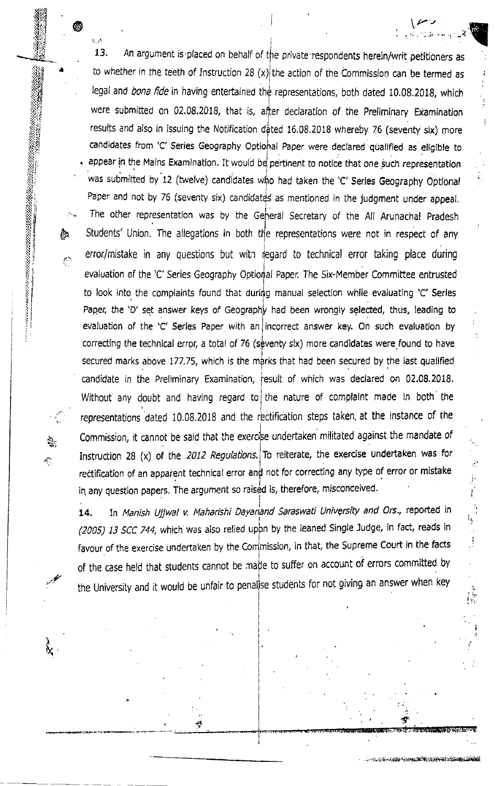13. An argument is placed on behalf of the private respondents herein/writ petitioners as to whether in the teeth of Instruction 28  $(x)$  the action of the Commission can be termed as legal and bona fide in having entertained the representations, both dated 10.08.2018, which were submitted on 02.08.2018, that is, after declaration of the Preliminary Examination results and also in issuing the Notification 16.08,2018 whereby 76 (seventy six) more candidates from 'C' Series Geography Optional Paper were declared qualified as eligible to appear in the Mains Examination. It would be pertinent to notice that one such representation was submitted by 12 (twelve) candidates who had taken the 'C' Serles Geography Optional Paper and not by 76 (seventy six) candidates as mentioned in the judgment under appeal. The other representation was by the General Secretary of the All Arunachal Pradesh error/mistake in any questions but with regard to technical error taking place during evaluation of the 'C' Series Geography Optional Paper. The Six-Member Committee entrusted to look into the complaints found that during manual selection while evaluating 'C' Series Paper, the 'D' set answer keys of Geography had been wrongly selected, thus, leading to evaluation of the 'C' Serles Paper with an incorrect answer key. On such evaluation by correcting the technical error, a total of 76 (seventy six) more candidates were found to have secured marks above 177.75, which is the marks that had been secured by the last qualified candidat e in the Preliminary Examination, Without any doubt and having regard to the nature of complaint made in both the represen tations dated 10.08.2018 and the rectification steps taken, at the instance of the Commission, it cannot be said that the exercise undertaken militated against the mandate of Instruction 28 (x) of the 2012 Regulations. To reiterate, the exercise undertaken was for rectification of an apparent technical error and not for correcting any type of error or mistake in any question papers. The argument so raised is, therefore, misconceived. **A** Students' Union. The allegations in both the representations were not in respect of any iesult of which was declared on 02.08.2018.

 $\bullet$  . The set of  $\mathbb{R}^n$ 

{.l:':iI  $\frac{1}{2}$  $H_{\rm tot}$ tn:'J '14tti  $-$ illa $-$ 

> il[,t ti[,X  $\frac{1}{2}$ :iu  $\geq$  $\ldots$ ii

a

iiiH  $\cdot$  : iiir'

::i: ill (r,  $\mathbb{S}$  ) EI

ii

i.i i:j ; IIit 1r

i1 ;l

 $a_{\rm{r}}$ 

 $\mathcal{L}_{\mathcal{C}}^{\mathcal{L}}$ 

 $\lambda$ fr

.t,

.<br>14. In *Manish Ujjwal v. Maharishi Dayanand Saraswati University and Ors.*, reported in (2005) 13 SCC 744, which was also relied upon by the leaned Single Judge, in fact, reads in favour of the exercise undertaken by the Commission, in that, the Supreme Court in the facts of the case held that students cannot be made to suffer on account of errors committed by the University and it would be unfair to penalise students for not giving an answer when key

 $\mathcal{F}$ 

 $\ldots$  in the state is result. The intervalst relation

':l :, i I

'! i-

 $\cdot$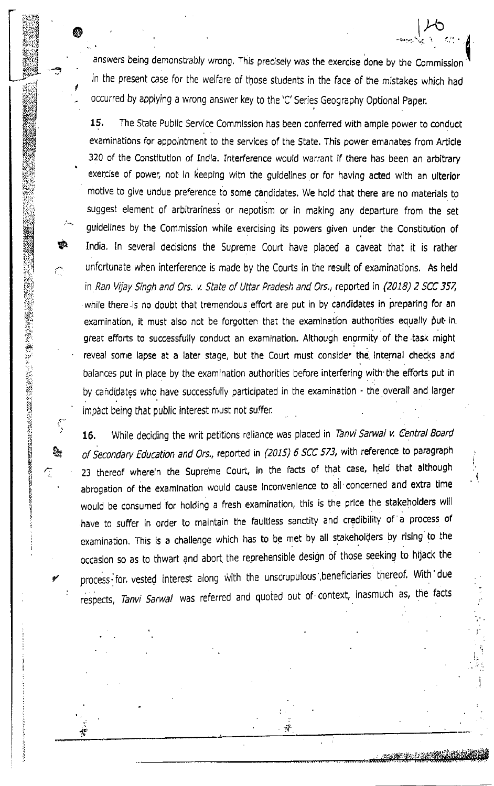answers being demonstrably wrong. This precisely was the exercise done by the Commission in the present case for the welfare of those students in the face of the mistakes which had occurred by applying a wrong answer key to the 'C' Series Geography Optional Paper.

 $\bullet$  later than  $\bullet$  later than  $\bullet$  later than  $\bullet$  later than  $\bullet$  later than  $\bullet$ 

I

i

:iri.; iL.l

i;i,  $\frac{1}{2}$ 

:<br>:<br>: ti:

 $:$ 

iij !i il,, rlj il

**1922-00** 

દૂ

**مبو** 

**international** il i

**CONTRACTOR** 

@

15. The State Public Service Commission has been conferred with ample power to conduct examinations for appointment to the services of the State. This power emanates from Article 320 of the Constitution of India. Interference would warrant if there has been an arbitrary exerclse of power, not in keeping witn the guidelines or for having acted with an ulterior motive to give undue preference to some candidates, We hold that there are no materiats to suggest element of arbitrariness or nepotism or in making any departure from the set guidelines by the Commission while exercising its powers given under the Constitution of India. ln several decisions the Supreme Court have placed a caveat that it is rather unfortunate when interference is made by the Courts in the result of examinations. As held in Ran Vijay Singh and Ors. v. State of Uttar Pradesh and Ors., reported in (2018) 2 SCC 357, while there is no doubt that tremendous effort are put in by candidates in preparing for an examination, it must also not be forgotten that the examination authorities equally put in. great efforts to successfully conduct an examination. Although enormity of the task might reveal sonre lapse at a later stage, but the Court must consider the internal checks and balances put in place by the examination authorities before interfering with'the efforts put in by candidates who have successfully participated in the examination - the overall and larger impact being that public interest must not suffer.

16. While deciding the writ petitions reliance was placed in Tanvi Sarwal v. Central Board of Secondary Education and Ors., reported in (2015) 6 SCC 573, with reference to paragraph 23 thereof wherein the Supreme Court, in the facts of that case, held that although abrogation of ihe examlnation would cause lnconvenience to all concerned and extra time would be consumed for holding a fresh examination, this is the price the stakeholders will have to suffer in order to maintain the faultless sanctity and credibility of a process of examination. This is a challenge which has to be met by all stakeholders by rising to the occasion so as to thwart and abort the reorehensible design of those seeking to hijack the process for. vested interest along with the unscrupulous beneficiaries thereof. With due respects, Tanvi Sarwal was referred and quoted out of context, inasmuch as, the facts

i

, where  $\mathcal{L}^{\text{in}}$  is the contract of the contract of the contract of the contract of the contract of the contract of the contract of the contract of the contract of the contract of the contract of the contract of the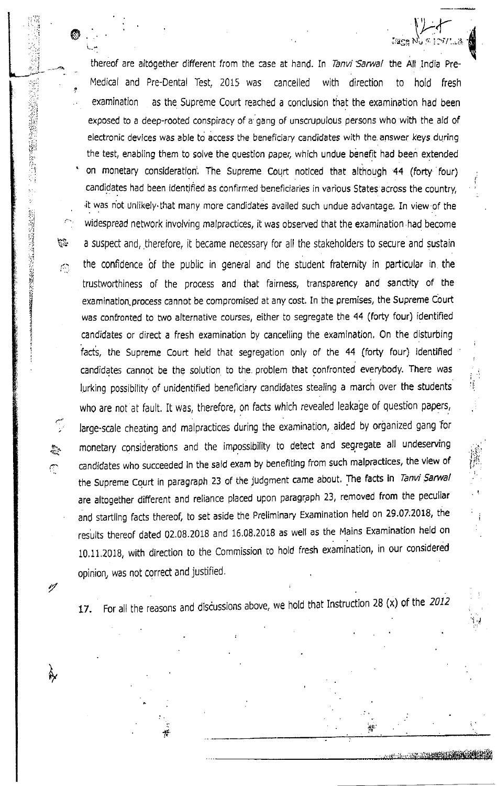thereof are altogether different from the case at hand. In Tanvi Sarwal the All India Pre-Medical and Pre-Dental Test, 2015 was cancelled with direction to hold fresh examination as the Supreme Court reached a conclusion that the examination had been exposed to a deep-rooted conspiracy of a gang of unscrupulous persons who with the aid of electronic devices was able to access the beneficiary candidates with the answer keys during the test, enabling them to solve the question paper, which undue benefit had been extended on monetary consideration. The Supreme Court noticed that although 44 (forty four) candidates had been identified as confirmed beneficiaries in various States across the country. it was not unlikely that many more candidates availed such undue advantage. In view of the widespread network involving malpractices, it was observed that the examination had become a suspect and, therefore, it became necessary for all the stakeholders to secure and sustain the confidence of the public in general and the student fraternity in particular in the trustworthiness of the process and that fairness, transparency and sanctity of the examination process cannot be compromised at any cost. In the premises, the Supreme Court was confronted to two alternative courses, either to segregate the 44 (forty four) identified candidates or direct a fresh examination by cancelling the examination. On the disturbing facts, the Supreme Court held that segregation only of the 44 (forty four) identified candidates cannot be the solution to the problem that confronted everybody. There was lurking possibility of unidentified beneficiary candidates stealing a march over the students who are not at fault. It was, therefore, on facts which revealed leakage of question papers, large-scale cheating and malpractices during the examination, aided by organized gang for monetary considerations and the impossibility to detect and segregate all undeserving candidates who succeeded in the said exam by benefiting from such malpractices, the view of the Supreme Court in paragraph 23 of the judgment came about. The facts in Tanvi Sarwal are altogether different and reliance placed upon paragraph 23, removed from the peculiar and startling facts thereof, to set aside the Preliminary Examination held on 29.07.2018, the results thereof dated 02.08.2018 and 16.08.2018 as well as the Mains Examination held on 10.11.2018, with direction to the Commission to hold fresh examination, in our considered opinion, was not correct and justified.

「陰謀」所の名詞「硬性異体者手持腰関係的などのよう」 所にの「陰謀」所の名詞程制制の関係は、特性の「極性」として、

· 经公司的 网络 网络 September September 2017

 $\frac{1}{2}$ 

 $\mathcal{C}_{\mathcal{C}}$ 

 $\mathbb{R}^2$ 

 $\sigma$ 

 $\mathscr{A}$ 

7≌re Nù∦ E

For all the reasons and discussions above, we hold that Instruction 28 (x) of the 2012 17.